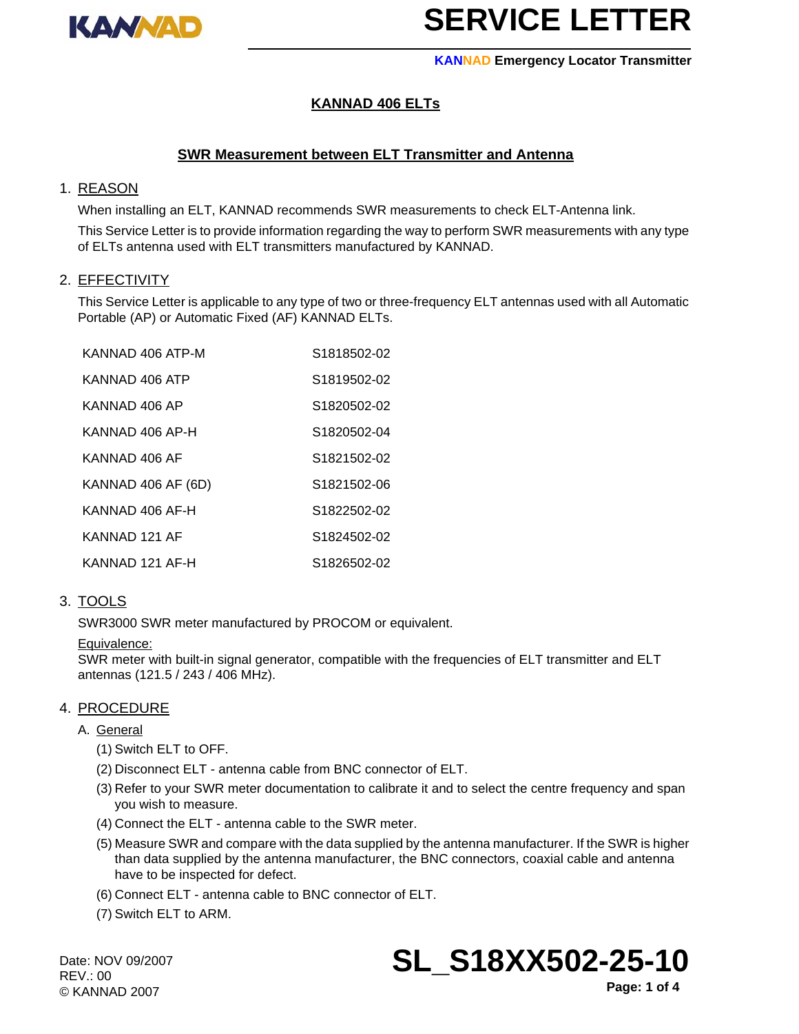

### **KANNAD Emergency Locator Transmitter**

## **KANNAD 406 ELTs**

## **SWR Measurement between ELT Transmitter and Antenna**

### 1. REASON

When installing an ELT, KANNAD recommends SWR measurements to check ELT-Antenna link.

This Service Letter is to provide information regarding the way to perform SWR measurements with any type of ELTs antenna used with ELT transmitters manufactured by KANNAD.

### 2. EFFECTIVITY

This Service Letter is applicable to any type of two or three-frequency ELT antennas used with all Automatic Portable (AP) or Automatic Fixed (AF) KANNAD ELTs.

| KANNAD 406 ATP-M   | S1818502-02             |
|--------------------|-------------------------|
| KANNAD 406 ATP     | S1819502-02             |
| KANNAD 406 AP      | S1820502-02             |
| KANNAD 406 AP-H    | S1820502-04             |
| KANNAD 406 AF      | S <sub>1821502-02</sub> |
| KANNAD 406 AF (6D) | S1821502-06             |
| KANNAD 406 AF-H    | S <sub>1822502-02</sub> |
| KANNAD 121 AF      | S1824502-02             |
| KANNAD 121 AF-H    | S1826502-02             |

### 3. TOOLS

SWR3000 SWR meter manufactured by PROCOM or equivalent.

### Equivalence:

SWR meter with built-in signal generator, compatible with the frequencies of ELT transmitter and ELT antennas (121.5 / 243 / 406 MHz).

### 4. PROCEDURE

### A. General

- (1) Switch ELT to OFF.
- (2) Disconnect ELT antenna cable from BNC connector of ELT.
- (3) Refer to your SWR meter documentation to calibrate it and to select the centre frequency and span you wish to measure.
- (4) Connect the ELT antenna cable to the SWR meter.
- (5) Measure SWR and compare with the data supplied by the antenna manufacturer. If the SWR is higher than data supplied by the antenna manufacturer, the BNC connectors, coaxial cable and antenna have to be inspected for defect.
- (6) Connect ELT antenna cable to BNC connector of ELT.
- (7) Switch ELT to ARM.

Date: NOV 09/2007 REV.: 00 © KANNAD 2007

# **SL\_S18XX502-25-10**

**Page: 1 of 4**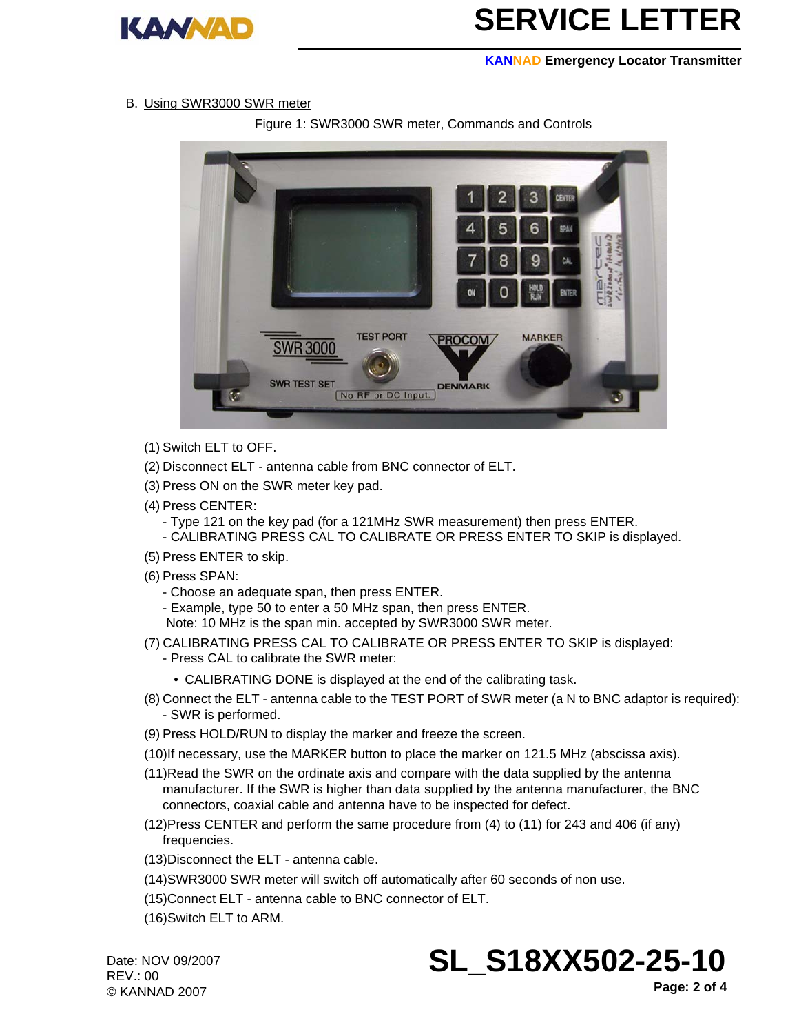

#### **KANNAD Emergency Locator Transmitter**

### B. Using SWR3000 SWR meter

Figure 1: SWR3000 SWR meter, Commands and Controls



- (1) Switch ELT to OFF.
- (2) Disconnect ELT antenna cable from BNC connector of ELT.
- (3) Press ON on the SWR meter key pad.
- (4) Press CENTER:
	- Type 121 on the key pad (for a 121MHz SWR measurement) then press ENTER.
	- CALIBRATING PRESS CAL TO CALIBRATE OR PRESS ENTER TO SKIP is displayed.
- (5) Press ENTER to skip.
- (6) Press SPAN:
	- Choose an adequate span, then press ENTER.
	- Example, type 50 to enter a 50 MHz span, then press ENTER.
	- Note: 10 MHz is the span min. accepted by SWR3000 SWR meter.
- (7) CALIBRATING PRESS CAL TO CALIBRATE OR PRESS ENTER TO SKIP is displayed: - Press CAL to calibrate the SWR meter:
	- CALIBRATING DONE is displayed at the end of the calibrating task.
- (8) Connect the ELT antenna cable to the TEST PORT of SWR meter (a N to BNC adaptor is required): - SWR is performed.
- (9) Press HOLD/RUN to display the marker and freeze the screen.
- (10)If necessary, use the MARKER button to place the marker on 121.5 MHz (abscissa axis).
- (11)Read the SWR on the ordinate axis and compare with the data supplied by the antenna manufacturer. If the SWR is higher than data supplied by the antenna manufacturer, the BNC connectors, coaxial cable and antenna have to be inspected for defect.
- (12)Press CENTER and perform the same procedure from (4) to (11) for 243 and 406 (if any) frequencies.
- (13)Disconnect the ELT antenna cable.
- (14)SWR3000 SWR meter will switch off automatically after 60 seconds of non use.
- (15)Connect ELT antenna cable to BNC connector of ELT.
- (16)Switch ELT to ARM.

Date: NOV 09/2007 REV.: 00 © KANNAD 2007



**Page: 2 of 4**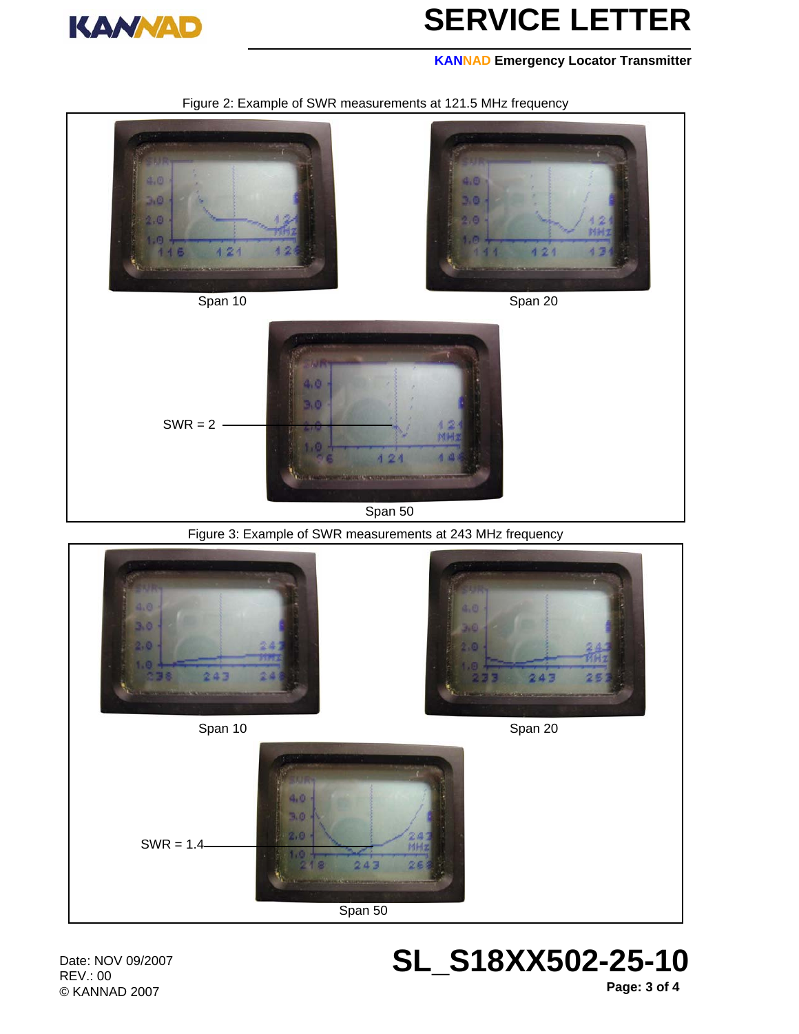

### **KANNAD Emergency Locator Transmitter**





Span 50

243

**SL\_S18XX502-25-10**

Date: NOV 09/2007 REV.: 00 © KANNAD 2007